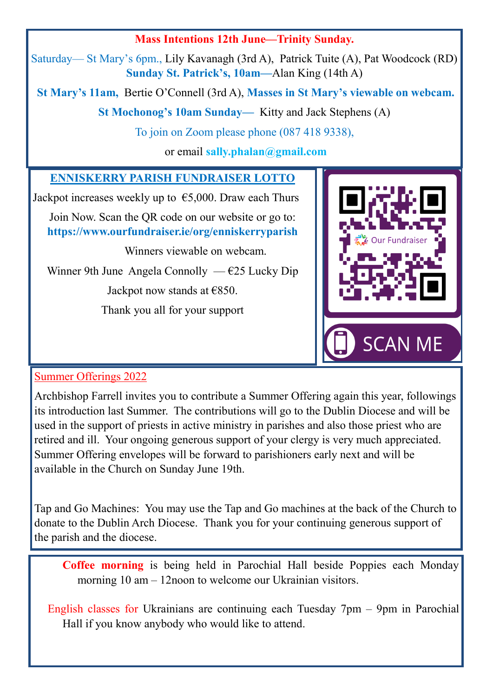#### **Mass Intentions 12th June—Trinity Sunday.**

Saturday— St Mary's 6pm., Lily Kavanagh (3rd A), Patrick Tuite (A), Pat Woodcock (RD) **Sunday St. Patrick's, 10am—**Alan King (14th A)

**St Mary's 11am,** Bertie O'Connell (3rd A), **Masses in St Mary's viewable on webcam.**

**St Mochonog's 10am Sunday—** Kitty and Jack Stephens (A)

To join on Zoom please phone (087 418 9338),

or email **sally.phalan@gmail.com** 

#### **ENNISKERRY PARISH FUNDRAISER LOTTO**

Jackpot increases weekly up to  $\epsilon$ 5,000. Draw each Thurs Join Now. Scan the QR code on our website or go to:

**https://www.ourfundraiser.ie/org/enniskerryparish**

Winners viewable on webcam.

Winner 9th June Angela Connolly —  $E25$  Lucky Dip

Jackpot now stands at  $€850$ .

Thank you all for your support



#### Summer Offerings 2022

Archbishop Farrell invites you to contribute a Summer Offering again this year, followings its introduction last Summer. The contributions will go to the Dublin Diocese and will be used in the support of priests in active ministry in parishes and also those priest who are retired and ill. Your ongoing generous support of your clergy is very much appreciated. Summer Offering envelopes will be forward to parishioners early next and will be available in the Church on Sunday June 19th.

Tap and Go Machines: You may use the Tap and Go machines at the back of the Church to donate to the Dublin Arch Diocese. Thank you for your continuing generous support of the parish and the diocese.

**Coffee morning** is being held in Parochial Hall beside Poppies each Monday morning 10 am – 12noon to welcome our Ukrainian visitors.

English classes for Ukrainians are continuing each Tuesday 7pm – 9pm in Parochial Hall if you know anybody who would like to attend.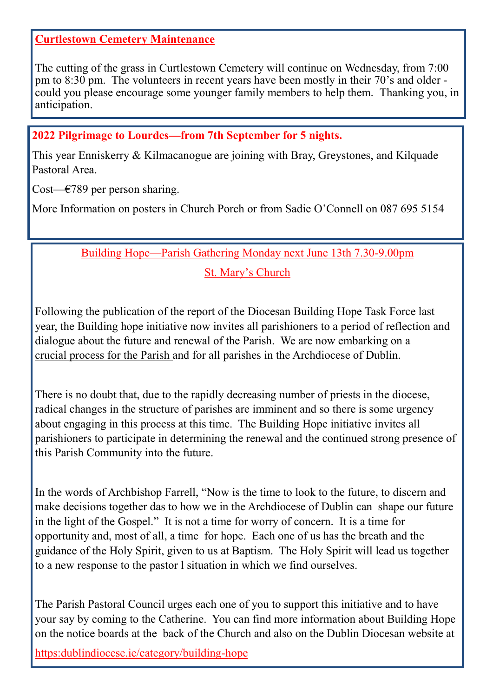#### **Curtlestown Cemetery Maintenance**

The cutting of the grass in Curtlestown Cemetery will continue on Wednesday, from 7:00 pm to 8:30 pm. The volunteers in recent years have been mostly in their 70's and older could you please encourage some younger family members to help them. Thanking you, in anticipation.

#### **2022 Pilgrimage to Lourdes—from 7th September for 5 nights.**

This year Enniskerry & Kilmacanogue are joining with Bray, Greystones, and Kilquade Pastoral Area.

Cost— $\epsilon$ 789 per person sharing.

More Information on posters in Church Porch or from Sadie O'Connell on 087 695 5154

#### Building Hope—Parish Gathering Monday next June 13th 7.30-9.00pm St. Mary's Church

Following the publication of the report of the Diocesan Building Hope Task Force last year, the Building hope initiative now invites all parishioners to a period of reflection and dialogue about the future and renewal of the Parish. We are now embarking on a crucial process for the Parish and for all parishes in the Archdiocese of Dublin.

There is no doubt that, due to the rapidly decreasing number of priests in the diocese, radical changes in the structure of parishes are imminent and so there is some urgency about engaging in this process at this time. The Building Hope initiative invites all parishioners to participate in determining the renewal and the continued strong presence of this Parish Community into the future.

In the words of Archbishop Farrell, "Now is the time to look to the future, to discern and make decisions together das to how we in the Archdiocese of Dublin can shape our future in the light of the Gospel." It is not a time for worry of concern. It is a time for opportunity and, most of all, a time for hope. Each one of us has the breath and the guidance of the Holy Spirit, given to us at Baptism. The Holy Spirit will lead us together to a new response to the pastor l situation in which we find ourselves.

The Parish Pastoral Council urges each one of you to support this initiative and to have your say by coming to the Catherine. You can find more information about Building Hope on the notice boards at the back of the Church and also on the Dublin Diocesan website at https:dublindiocese.ie/category/building-hope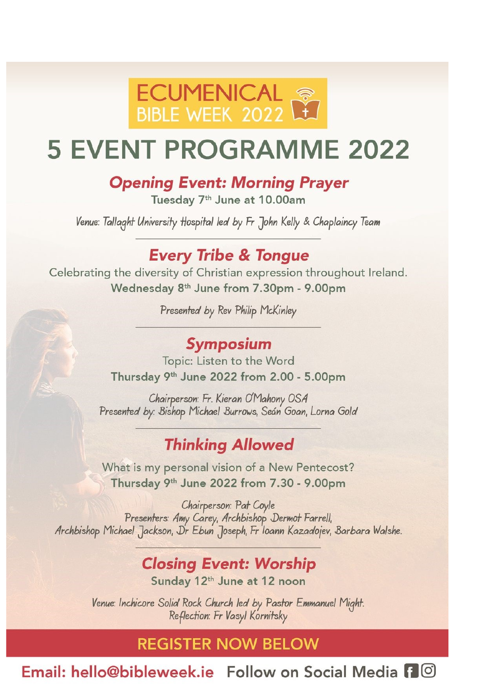

# **5 EVENT PROGRAMME 2022**

### **Opening Event: Morning Prayer**

Tuesday 7<sup>th</sup> June at 10.00am

Venue: Tallaght University Hospital led by Fr John Kelly & Chaplaincy Team

### **Every Tribe & Tongue**

Celebrating the diversity of Christian expression throughout Ireland. Wednesday 8<sup>th</sup> June from 7.30pm - 9.00pm

Presented by Rev Philip McKinley

### Symposium

Topic: Listen to the Word Thursday 9th June 2022 from 2.00 - 5.00pm

Chairperson: Fr. Kieran O'Mahony OSA Presented by: Bishop Michael Burrows, Seán Goan, Lorna Gold

### **Thinking Allowed**

What is my personal vision of a New Pentecost? Thursday 9th June 2022 from 7.30 - 9.00pm

Chairperson: Pat Coyle Presenters: Amy Carey, Archbishop Dermot Farrell, Archbishop Michael Jackson, Dr Ebun Joseph, Fr Ioann Kazadojev, Barbara Walshe.

## **Closing Event: Worship**

Sunday 12th June at 12 noon

Venue: Inchicore Solid Rock Church led by Pastor Emmanuel Might. Reflection: Fr Vasyl Kornitsky

### **REGISTER NOW BELOW**

Email: hello@bibleweek.je Follow on Social Media F ©